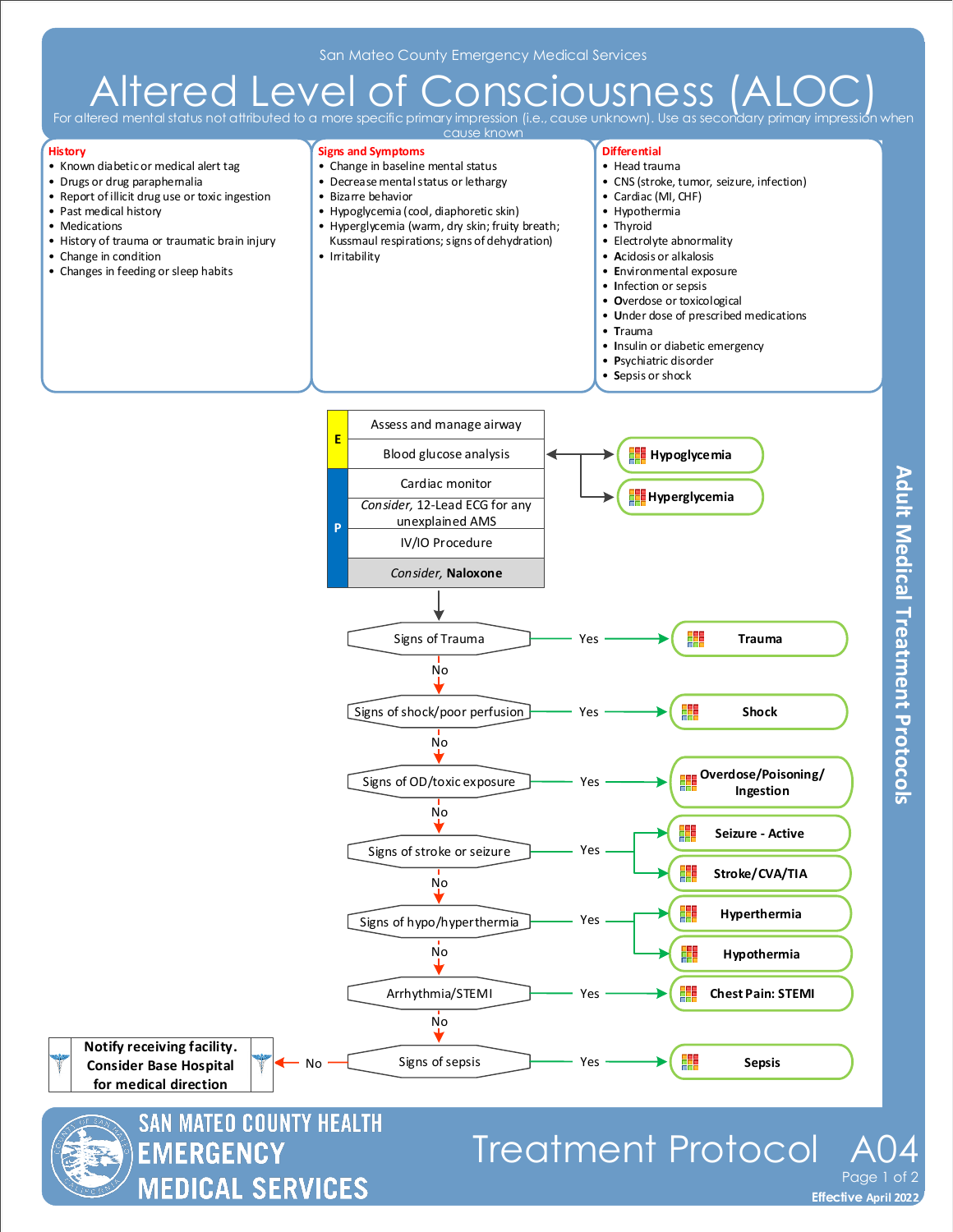## Altered Level of Consciousness (A

.<br>For a more specific primary impression outed to a more s cause know

## **History**

- Known diabetic or medical alert tag
- Drugs or drug paraphernalia
- Report of illicit drug use or toxic ingestion
- Past medical history
- Medications
- History of trauma or traumatic brain injury

**MEDICAL SERVICES** 

- Change in condition
- Changes in feeding or sleep habits



**Effective November 2018 Effective April 2022**

Page 1 of 2